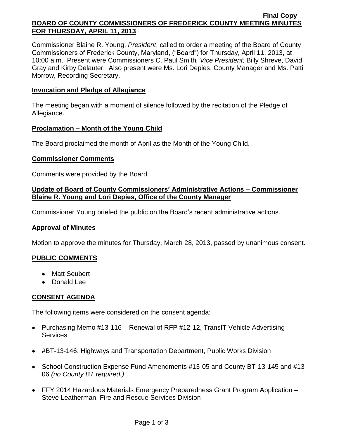#### **Final Copy BOARD OF COUNTY COMMISSIONERS OF FREDERICK COUNTY MEETING MINUTES FOR THURSDAY, APRIL 11, 2013**

Commissioner Blaine R. Young, *President*, called to order a meeting of the Board of County Commissioners of Frederick County, Maryland, ("Board") for Thursday, April 11, 2013, at 10:00 a.m. Present were Commissioners C. Paul Smith*, Vice President;* Billy Shreve, David Gray and Kirby Delauter. Also present were Ms. Lori Depies, County Manager and Ms. Patti Morrow, Recording Secretary.

#### **Invocation and Pledge of Allegiance**

The meeting began with a moment of silence followed by the recitation of the Pledge of Allegiance.

#### **Proclamation – Month of the Young Child**

The Board proclaimed the month of April as the Month of the Young Child.

### **Commissioner Comments**

Comments were provided by the Board.

## **Update of Board of County Commissioners' Administrative Actions – Commissioner Blaine R. Young and Lori Depies, Office of the County Manager**

Commissioner Young briefed the public on the Board's recent administrative actions.

### **Approval of Minutes**

Motion to approve the minutes for Thursday, March 28, 2013, passed by unanimous consent.

### **PUBLIC COMMENTS**

- Matt Seubert
- Donald Lee

### **CONSENT AGENDA**

The following items were considered on the consent agenda:

- Purchasing Memo #13-116 Renewal of RFP #12-12, TransIT Vehicle Advertising **Services**
- #BT-13-146, Highways and Transportation Department, Public Works Division
- School Construction Expense Fund Amendments #13-05 and County BT-13-145 and #13-06 *(no County BT required.)*
- FFY 2014 Hazardous Materials Emergency Preparedness Grant Program Application Steve Leatherman, Fire and Rescue Services Division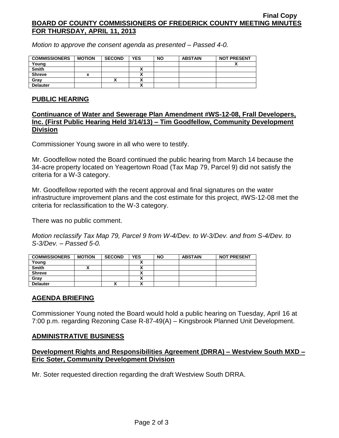#### **Final Copy BOARD OF COUNTY COMMISSIONERS OF FREDERICK COUNTY MEETING MINUTES FOR THURSDAY, APRIL 11, 2013**

*Motion to approve the consent agenda as presented – Passed 4-0.*

| <b>COMMISSIONERS</b> | <b>MOTION</b> | <b>SECOND</b> | YES | <b>NO</b> | <b>ABSTAIN</b> | <b>NOT PRESENT</b> |
|----------------------|---------------|---------------|-----|-----------|----------------|--------------------|
| Young                |               |               |     |           |                |                    |
| <b>Smith</b>         |               |               | ^   |           |                |                    |
| <b>Shreve</b>        |               |               |     |           |                |                    |
| Grav                 |               |               |     |           |                |                    |
| <b>Delauter</b>      |               |               | ^   |           |                |                    |

#### **PUBLIC HEARING**

### **Continuance of Water and Sewerage Plan Amendment #WS-12-08, Frall Developers, Inc. (First Public Hearing Held 3/14/13) – Tim Goodfellow, Community Development Division**

Commissioner Young swore in all who were to testify.

Mr. Goodfellow noted the Board continued the public hearing from March 14 because the 34-acre property located on Yeagertown Road (Tax Map 79, Parcel 9) did not satisfy the criteria for a W-3 category.

Mr. Goodfellow reported with the recent approval and final signatures on the water infrastructure improvement plans and the cost estimate for this project, #WS-12-08 met the criteria for reclassification to the W-3 category.

There was no public comment.

*Motion reclassify Tax Map 79, Parcel 9 from W-4/Dev. to W-3/Dev. and from S-4/Dev. to S-3/Dev. – Passed 5-0.*

| <b>COMMISSIONERS</b> | <b>MOTION</b> | <b>SECOND</b> | <b>YES</b> | <b>NO</b> | <b>ABSTAIN</b> | <b>NOT PRESENT</b> |
|----------------------|---------------|---------------|------------|-----------|----------------|--------------------|
| Young                |               |               |            |           |                |                    |
| <b>Smith</b>         |               |               | ,,         |           |                |                    |
| <b>Shreve</b>        |               |               |            |           |                |                    |
| Gray                 |               |               |            |           |                |                    |
| <b>Delauter</b>      |               | ^             | ~          |           |                |                    |

### **AGENDA BRIEFING**

Commissioner Young noted the Board would hold a public hearing on Tuesday, April 16 at 7:00 p.m. regarding Rezoning Case R-87-49(A) – Kingsbrook Planned Unit Development.

### **ADMINISTRATIVE BUSINESS**

## **Development Rights and Responsibilities Agreement (DRRA) – Westview South MXD – Eric Soter, Community Development Division**

Mr. Soter requested direction regarding the draft Westview South DRRA.